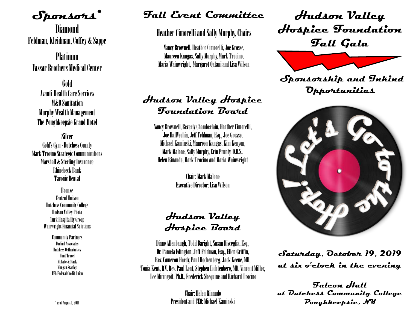**Sponsors\***

**Diamond** Feldman, Kleidman, Coffey & Sappe

Platinum Vassar Brothers Medical Center

Gold Avanti Health Care Services M&O Sanitation Murphy Wealth Management The Poughkeepsie Grand Hotel

Silver Gold's Gym - Dutchess County Mark Trocino Strategic Communications Marshall & Sterling Insurance Rhinebeck Bank Taconic Dental

> Bronze Central Hudson Dutchess Community College Hudson Valley Photo Turk Hospitality Group Wainwright Financial Solutions

> > Community Partners Darlind Associates Dutchess Orthodontics Hunt Travel McCabe & Mack Morgan Stanley TEG Federal Credit Union

### **Fall Event Committee**

Heather Cimorelli and Sally Murphy, Chairs

Nancy Brownell, Heather Cimorelli, Joe Grosse, Maureen Kangas, Sally Murphy, Mark Trocino, Maria Wainwright, Margaret Qatani and Lisa Wilson

### **Hudson Valley Hospice Foundation Board**

Nancy Brownell, Beverly Chamberlain, Heather Cimorelli, Joe DallVechia, Jeff Feldman, Esq., Joe Grosse, Michael Kaminski, Maureen Kangas, Kim Kenyon, Mark Malone, Sally Murphy, Erin Prunty, D.D.S., Helen Rinaudo, Mark Trocino and Maria Wainwright

> Chair: Mark Malone Executive Director: Lisa Wilson

## **Hudson Valley Hospice Board**

Diane Allenbaugh, Todd Baright, Susan Bisceglia, Esq., Dr. Pamela Edington, Jeff Feldman, Esq., Ellen Griffin, Rev. Cameron Hardy, Paul Hochenberg, Jack Keene, MD, Tonia Kent, RN, Rev. Paul Lent, Stephen Lichtenberg, MD, Vincent Miller, Lee Miringoff, Ph.D., Frederick Shequine and Richard Trocino

> Chair: Helen Rinaudo President and CEO: Michael Kaminski

**Hudson Valley Hospice Foundation Fall Gala** 



 **Sponsorship and Inkind Opportunities** 



**Saturday, October 19, 2019 at six o'clock in the evening**

**Falcon Hall at Dutchess Community College Poughkeepsie, NY**